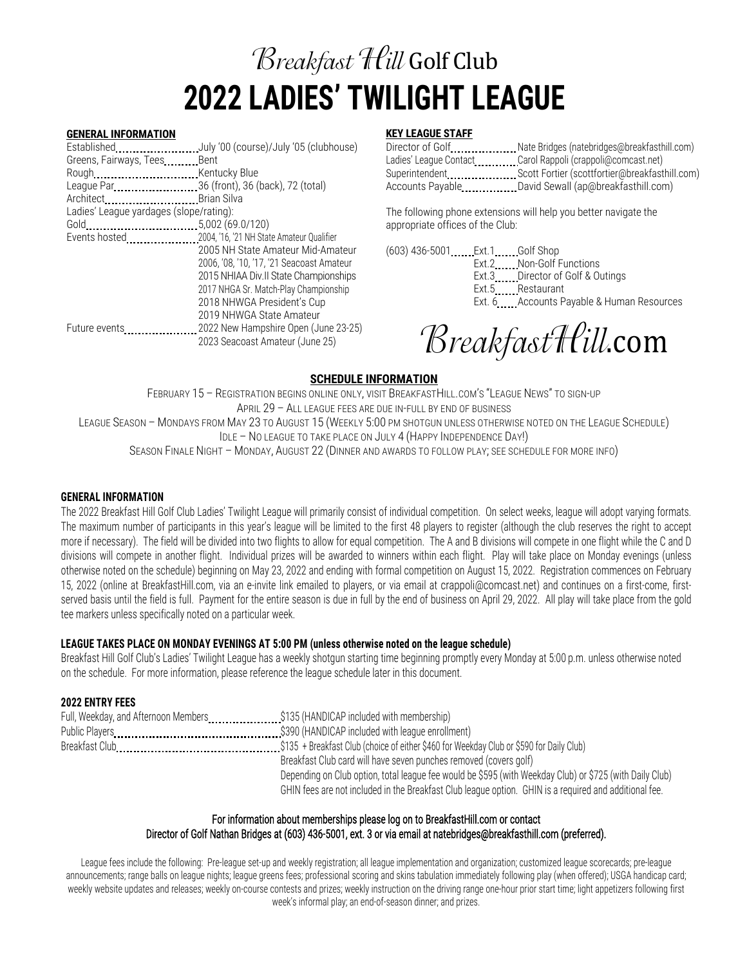# **Breakfast Hill Golf Club 2022 LADIES' TWILIGHT LEAGUE**

#### **GENERAL INFORMATION**

Established **......................** July '00 (course)/July '05 (clubhouse) Greens, Fairways, Tees.........Bent Rough Kentucky Blue League Par 36 (front), 36 (back), 72 (total) Architect.................................Brian Silva Ladies' League yardages (slope/rating): Gold 5,002 (69.0/120) Events hosted.......................2004, '16, '21 NH State Amateur Qualifier 2005 NH State Amateur Mid-Amateur 2006, '08, '10, '17, '21 Seacoast Amateur 2015 NHIAA Div.II State Championships 2017 NHGA Sr. Match-Play Championship 2018 NHWGA President's Cup 2019 NHWGA State Amateur Future events ....................... 2022 New Hampshire Open (June 23-25) 2023 Seacoast Amateur (June 25)

# **KEY LEAGUE STAFF**

| Director of GolfNate Bridges (natebridges@breakfasthill.com) |
|--------------------------------------------------------------|
| Ladies' League Contact Carol Rappoli (crappoli@comcast.net)  |
|                                                              |
|                                                              |

The following phone extensions will help you better navigate the appropriate offices of the Club:

(603) 436-5001 Ext.1 Golf Shop Ext.2 Non-Golf Functions Ext.3 Director of Golf & Outings Ext.5 Restaurant Ext. 6 **Accounts Payable & Human Resources** 

BreakfastHill.com

# **SCHEDULE INFORMATION**

FEBRUARY 15 – REGISTRATION BEGINS ONLINE ONLY, VISIT BREAKFASTHILL.COM'S "LEAGUE NEWS" TO SIGN-UP APRIL 29 – ALL LEAGUE FEES ARE DUE IN-FULL BY END OF BUSINESS LEAGUE SEASON – MONDAYS FROM MAY 23 TO AUGUST 15 (WEEKLY 5:00 PM SHOTGUN UNLESS OTHERWISE NOTED ON THE LEAGUE SCHEDULE) IDLE – NO LEAGUE TO TAKE PLACE ON JULY 4 (HAPPY INDEPENDENCE DAY!) SEASON FINALE NIGHT – MONDAY, AUGUST 22 (DINNER AND AWARDS TO FOLLOW PLAY; SEE SCHEDULE FOR MORE INFO)

## **GENERAL INFORMATION**

The 2022 Breakfast Hill Golf Club Ladies' Twilight League will primarily consist of individual competition. On select weeks, league will adopt varying formats. The maximum number of participants in this year's league will be limited to the first 48 players to register (although the club reserves the right to accept more if necessary). The field will be divided into two flights to allow for equal competition. The A and B divisions will compete in one flight while the C and D divisions will compete in another flight. Individual prizes will be awarded to winners within each flight. Play will take place on Monday evenings (unless otherwise noted on the schedule) beginning on May 23, 2022 and ending with formal competition on August 15, 2022. Registration commences on February 15, 2022 (online at BreakfastHill.com, via an e-invite link emailed to players, or via email at crappoli@comcast.net) and continues on a first-come, firstserved basis until the field is full. Payment for the entire season is due in full by the end of business on April 29, 2022. All play will take place from the gold tee markers unless specifically noted on a particular week.

# **LEAGUE TAKES PLACE ON MONDAY EVENINGS AT 5:00 PM (unless otherwise noted on the league schedule)**

Breakfast Hill Golf Club's Ladies' Twilight League has a weekly shotgun starting time beginning promptly every Monday at 5:00 p.m. unless otherwise noted on the schedule. For more information, please reference the league schedule later in this document.

# **2022 ENTRY FEES**

| Full, Weekday, and Afternoon Members\$135 (HANDICAP included with membership) |                                                                                                          |
|-------------------------------------------------------------------------------|----------------------------------------------------------------------------------------------------------|
|                                                                               |                                                                                                          |
|                                                                               |                                                                                                          |
|                                                                               | Breakfast Club card will have seven punches removed (covers golf)                                        |
|                                                                               | Depending on Club option, total league fee would be \$595 (with Weekday Club) or \$725 (with Daily Club) |
|                                                                               | GHIN fees are not included in the Breakfast Club league option. GHIN is a required and additional fee.   |

# For information about memberships please log on to BreakfastHill.com or contact Director of Golf Nathan Bridges at (603) 436-5001, ext. 3 or via email at natebridges@breakfasthill.com (preferred).

League fees include the following: Pre-league set-up and weekly registration; all league implementation and organization; customized league scorecards; pre-league announcements; range balls on league nights; league greens fees; professional scoring and skins tabulation immediately following play (when offered); USGA handicap card; weekly website updates and releases; weekly on-course contests and prizes; weekly instruction on the driving range one-hour prior start time; light appetizers following first week's informal play; an end-of-season dinner; and prizes.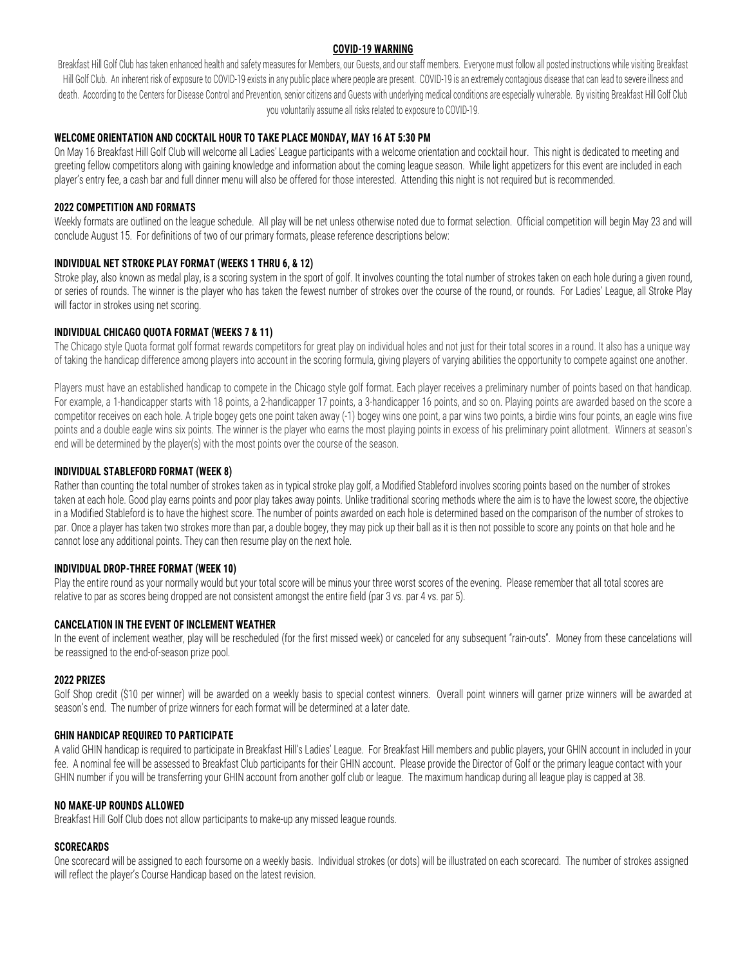#### **COVID-19 WARNING**

Breakfast Hill Golf Club has taken enhanced health and safety measures for Members, our Guests, and our staff members. Everyone must follow all posted instructions while visiting Breakfast Hill Golf Club. An inherent risk of exposure to COVID-19 exists in any public place where people are present. COVID-19 is an extremely contagious disease that can lead to severe illness and death. According to the Centers for Disease Control and Prevention, senior citizens and Guests with underlying medical conditions are especially vulnerable. By visiting Breakfast Hill Golf Club you voluntarily assume all risks related to exposure to COVID-19.

## **WELCOME ORIENTATION AND COCKTAIL HOUR TO TAKE PLACE MONDAY, MAY 16 AT 5:30 PM**

On May 16 Breakfast Hill Golf Club will welcome all Ladies' League participants with a welcome orientation and cocktail hour. This night is dedicated to meeting and greeting fellow competitors along with gaining knowledge and information about the coming league season. While light appetizers for this event are included in each player's entry fee, a cash bar and full dinner menu will also be offered for those interested. Attending this night is not required but is recommended.

# **2022 COMPETITION AND FORMATS**

Weekly formats are outlined on the league schedule. All play will be net unless otherwise noted due to format selection. Official competition will begin May 23 and will conclude August 15. For definitions of two of our primary formats, please reference descriptions below:

# **INDIVIDUAL NET STROKE PLAY FORMAT (WEEKS 1 THRU 6, & 12)**

Stroke play, also known as medal play, is a scoring system in the sport of golf. It involves counting the total number of strokes taken on each hole during a given round, or series of rounds. The winner is the player who has taken the fewest number of strokes over the course of the round, or rounds. For Ladies' League, all Stroke Play will factor in strokes using net scoring.

# **INDIVIDUAL CHICAGO QUOTA FORMAT (WEEKS 7 & 11)**

The Chicago style Quota format golf format rewards competitors for great play on individual holes and not just for their total scores in a round. It also has a unique way of taking the handicap difference among players into account in the scoring formula, giving players of varying abilities the opportunity to compete against one another.

Players must have an established handicap to compete in the Chicago style golf format. Each player receives a preliminary number of points based on that handicap. For example, a 1-handicapper starts with 18 points, a 2-handicapper 17 points, a 3-handicapper 16 points, and so on. Playing points are awarded based on the score a competitor receives on each hole. A triple bogey gets one point taken away (-1) bogey wins one point, a par wins two points, a birdie wins four points, an eagle wins five points and a double eagle wins six points. The winner is the player who earns the most playing points in excess of his preliminary point allotment. Winners at season's end will be determined by the player(s) with the most points over the course of the season.

## **INDIVIDUAL STABLEFORD FORMAT (WEEK 8)**

Rather than counting the total number of strokes taken as in typical stroke play golf, a Modified Stableford involves scoring points based on the number of strokes taken at each hole. Good play earns points and poor play takes away points. Unlike traditional scoring methods where the aim is to have the lowest score, the objective in a Modified Stableford is to have the highest score. The number of points awarded on each hole is determined based on the comparison of the number of strokes to par. Once a player has taken two strokes more than par, a double bogey, they may pick up their ball as it is then not possible to score any points on that hole and he cannot lose any additional points. They can then resume play on the next hole.

## **INDIVIDUAL DROP-THREE FORMAT (WEEK 10)**

Play the entire round as your normally would but your total score will be minus your three worst scores of the evening. Please remember that all total scores are relative to par as scores being dropped are not consistent amongst the entire field (par 3 vs. par 4 vs. par 5).

## **CANCELATION IN THE EVENT OF INCLEMENT WEATHER**

In the event of inclement weather, play will be rescheduled (for the first missed week) or canceled for any subsequent "rain-outs". Money from these cancelations will be reassigned to the end-of-season prize pool.

## **2022 PRIZES**

Golf Shop credit (\$10 per winner) will be awarded on a weekly basis to special contest winners. Overall point winners will garner prize winners will be awarded at season's end. The number of prize winners for each format will be determined at a later date.

## **GHIN HANDICAP REQUIRED TO PARTICIPATE**

A valid GHIN handicap is required to participate in Breakfast Hill's Ladies' League. For Breakfast Hill members and public players, your GHIN account in included in your fee. A nominal fee will be assessed to Breakfast Club participants for their GHIN account. Please provide the Director of Golf or the primary league contact with your GHIN number if you will be transferring your GHIN account from another golf club or league. The maximum handicap during all league play is capped at 38.

## **NO MAKE-UP ROUNDS ALLOWED**

Breakfast Hill Golf Club does not allow participants to make-up any missed league rounds.

## **SCORECARDS**

One scorecard will be assigned to each foursome on a weekly basis. Individual strokes (or dots) will be illustrated on each scorecard. The number of strokes assigned will reflect the player's Course Handicap based on the latest revision.